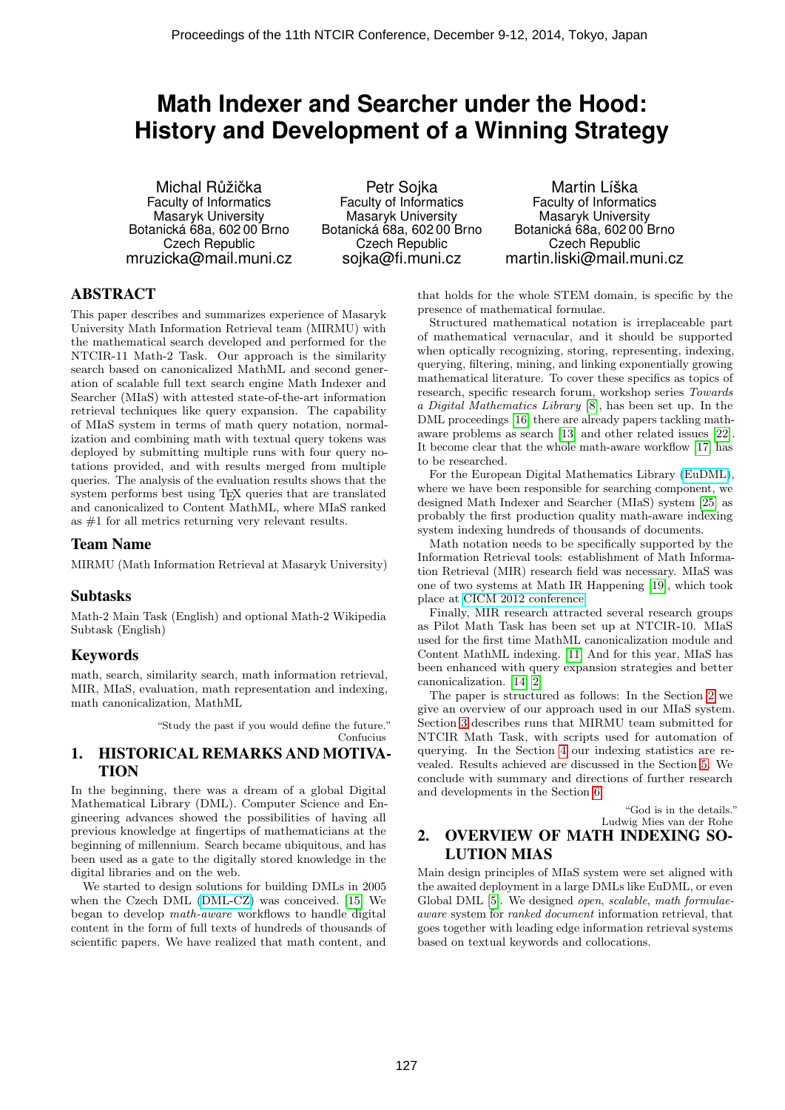# **Math Indexer and Searcher under the Hood: History and Development of a Winning Strategy**

Michal Růžička Faculty of Informatics Masaryk University Botanická 68a, 602 00 Brno Czech Republic mruzicka@mail.muni.cz

Petr Sojka Faculty of Informatics Masaryk University Botanická 68a, 602 00 Brno Czech Republic sojka@fi.muni.cz

Martin Líška Faculty of Informatics Masaryk University Botanická 68a, 602 00 Brno Czech Republic martin.liski@mail.muni.cz

## ABSTRACT

This paper describes and summarizes experience of Masaryk University Math Information Retrieval team (MIRMU) with the mathematical search developed and performed for the NTCIR-11 Math-2 Task. Our approach is the similarity search based on canonicalized MathML and second generation of scalable full text search engine Math Indexer and Searcher (MIaS) with attested state-of-the-art information retrieval techniques like query expansion. The capability of MIaS system in terms of math query notation, normalization and combining math with textual query tokens was deployed by submitting multiple runs with four query notations provided, and with results merged from multiple queries. The analysis of the evaluation results shows that the system performs best using T<sub>E</sub>X queries that are translated and canonicalized to Content MathML, where MIaS ranked as #1 for all metrics returning very relevant results.

## Team Name

MIRMU (Math Information Retrieval at Masaryk University)

## Subtasks

Math-2 Main Task (English) and optional Math-2 Wikipedia Subtask (English)

## Keywords

math, search, similarity search, math information retrieval, MIR, MIaS, evaluation, math representation and indexing, math canonicalization, MathML

"Study the past if you would define the future."

Confucius

## 1. HISTORICAL REMARKS AND MOTIVA-TION

In the beginning, there was a dream of a global Digital Mathematical Library (DML). Computer Science and Engineering advances showed the possibilities of having all previous knowledge at fingertips of mathematicians at the beginning of millennium. Search became ubiquitous, and has been used as a gate to the digitally stored knowledge in the digital libraries and on the web.

We started to design solutions for building DMLs in 2005 when the Czech DML [\(DML-CZ\)](https://dml.cz) was conceived. [15] We began to develop math-aware workflows to handle digital content in the form of full texts of hundreds of thousands of scientific papers. We have realized that math content, and

that holds for the whole STEM domain, is specific by the presence of mathematical formulae.

Structured mathematical notation is irreplaceable part of mathematical vernacular, and it should be supported when optically recognizing, storing, representing, indexing, querying, filtering, mining, and linking exponentially growing mathematical literature. To cover these specifics as topics of research, specific research forum, workshop series Towards a Digital Mathematics Library [8], has been set up. In the DML proceedings [16] there are already papers tackling mathaware problems as search [13] and other related issues [22]. It become clear that the whole math-aware workflow [17] has to be researched.

For the European Digital Mathematics Library [\(EuDML\)](https://eudml.org), where we have been responsible for searching component, we designed Math Indexer and Searcher (MIaS) system [25] as probably the first production quality math-aware indexing system indexing hundreds of thousands of documents.

Math notation needs to be specifically supported by the Information Retrieval tools: establishment of Math Information Retrieval (MIR) research field was necessary. MIaS was one of two systems at Math IR Happening [19], which took place at [CICM 2012 conference.](http://cicm-conference.org/2012/cicm.php?event=mir&menu=happening)

Finally, MIR research attracted several research groups as Pilot Math Task has been set up at NTCIR-10. MIaS used for the first time MathML canonicalization module and Content MathML indexing. [11] And for this year, MIaS has been enhanced with query expansion strategies and better canonicalization. [14, 2]

The paper is structured as follows: In the Section 2 we give an overview of our approach used in our MIaS system. Section 3 describes runs that MIRMU team submitted for NTCIR Math Task, with scripts used for automation of querying. In the Section 4 our indexing statistics are revealed. Results achieved are discussed in the Section 5. We conclude with summary and directions of further research and developments in the Section 6.

> "God is in the details." Ludwig Mies van der Rohe

## 2. OVERVIEW OF MATH INDEXING SO-LUTION MIAS

Main design principles of MIaS system were set aligned with the awaited deployment in a large DMLs like EuDML, or even Global DML [5]. We designed open, scalable, math formulaeaware system for ranked document information retrieval, that goes together with leading edge information retrieval systems based on textual keywords and collocations.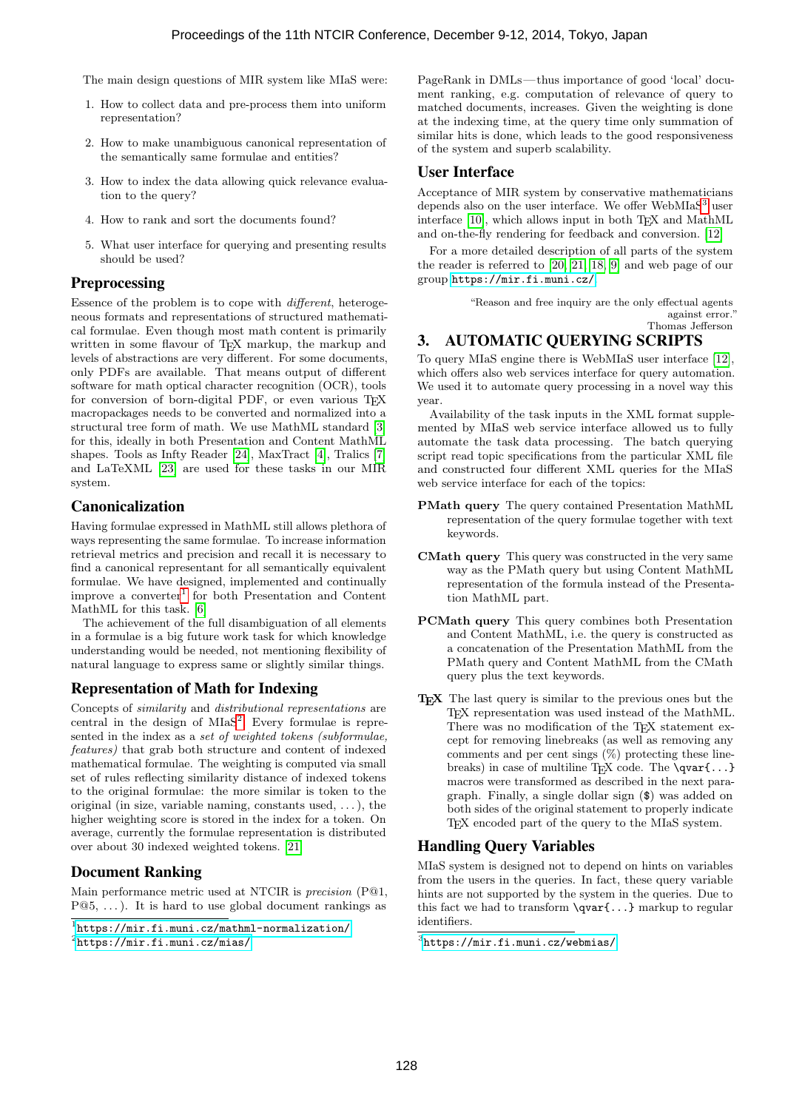The main design questions of MIR system like MIaS were:

- 1. How to collect data and pre-process them into uniform representation?
- 2. How to make unambiguous canonical representation of the semantically same formulae and entities?
- 3. How to index the data allowing quick relevance evaluation to the query?
- 4. How to rank and sort the documents found?
- 5. What user interface for querying and presenting results should be used?

## **Preprocessing**

Essence of the problem is to cope with different, heterogeneous formats and representations of structured mathematical formulae. Even though most math content is primarily written in some flavour of TFX markup, the markup and levels of abstractions are very different. For some documents, only PDFs are available. That means output of different software for math optical character recognition (OCR), tools for conversion of born-digital PDF, or even various TEX macropackages needs to be converted and normalized into a structural tree form of math. We use MathML standard [3] for this, ideally in both Presentation and Content MathML shapes. Tools as Infty Reader [24], MaxTract [4], Tralics [7] and LaTeXML [23] are used for these tasks in our MIR system.

## Canonicalization

Having formulae expressed in MathML still allows plethora of ways representing the same formulae. To increase information retrieval metrics and precision and recall it is necessary to find a canonical representant for all semantically equivalent formulae. We have designed, implemented and continually improve a converter<sup>1</sup> for both Presentation and Content MathML for this task. [6]

The achievement of the full disambiguation of all elements in a formulae is a big future work task for which knowledge understanding would be needed, not mentioning flexibility of natural language to express same or slightly similar things.

## Representation of Math for Indexing

Concepts of similarity and distributional representations are central in the design of  $MIAS<sup>2</sup>$ . Every formulae is represented in the index as a set of weighted tokens (subformulae, features) that grab both structure and content of indexed mathematical formulae. The weighting is computed via small set of rules reflecting similarity distance of indexed tokens to the original formulae: the more similar is token to the original (in size, variable naming, constants used,  $\dots$ ), the higher weighting score is stored in the index for a token. On average, currently the formulae representation is distributed over about 30 indexed weighted tokens. [21]

## Document Ranking

Main performance metric used at NTCIR is precision (P@1,  $P@5, \ldots$ ). It is hard to use global document rankings as

PageRank in DMLs— thus importance of good 'local' document ranking, e.g. computation of relevance of query to matched documents, increases. Given the weighting is done at the indexing time, at the query time only summation of similar hits is done, which leads to the good responsiveness of the system and superb scalability.

## User Interface

Acceptance of MIR system by conservative mathematicians depends also on the user interface. We offer  $WebM IaS<sup>3</sup>$  user interface [10], which allows input in both T<sub>E</sub>X and MathML and on-the-fly rendering for feedback and conversion. [12]

For a more detailed description of all parts of the system the reader is referred to [20, 21, 18, 9] and web page of our group <https://mir.fi.muni.cz/>.

> "Reason and free inquiry are the only effectual agents against error." Thomas Jefferson

# 3. AUTOMATIC QUERYING SCRIPTS

To query MIaS engine there is WebMIaS user interface [12], which offers also web services interface for query automation. We used it to automate query processing in a novel way this year.

Availability of the task inputs in the XML format supplemented by MIaS web service interface allowed us to fully automate the task data processing. The batch querying script read topic specifications from the particular XML file and constructed four different XML queries for the MIaS web service interface for each of the topics:

- PMath query The query contained Presentation MathML representation of the query formulae together with text keywords.
- CMath query This query was constructed in the very same way as the PMath query but using Content MathML representation of the formula instead of the Presentation MathML part.
- PCMath query This query combines both Presentation and Content MathML, i.e. the query is constructed as a concatenation of the Presentation MathML from the PMath query and Content MathML from the CMath query plus the text keywords.
- TEX The last query is similar to the previous ones but the TEX representation was used instead of the MathML. There was no modification of the TEX statement except for removing linebreaks (as well as removing any comments and per cent sings  $(\%)$  protecting these linebreaks) in case of multiline T<sub>E</sub>X code. The  $\qquad$ qvar{...} macros were transformed as described in the next paragraph. Finally, a single dollar sign (\$) was added on both sides of the original statement to properly indicate TEX encoded part of the query to the MIaS system.

## Handling Query Variables

MIaS system is designed not to depend on hints on variables from the users in the queries. In fact, these query variable hints are not supported by the system in the queries. Due to this fact we had to transform  $\qquad$   $\qquad$ ...} markup to regular identifiers.

<sup>1</sup> <https://mir.fi.muni.cz/mathml-normalization/>  $^{2}$ <https://mir.fi.muni.cz/mias/>

<sup>3</sup> <https://mir.fi.muni.cz/webmias/>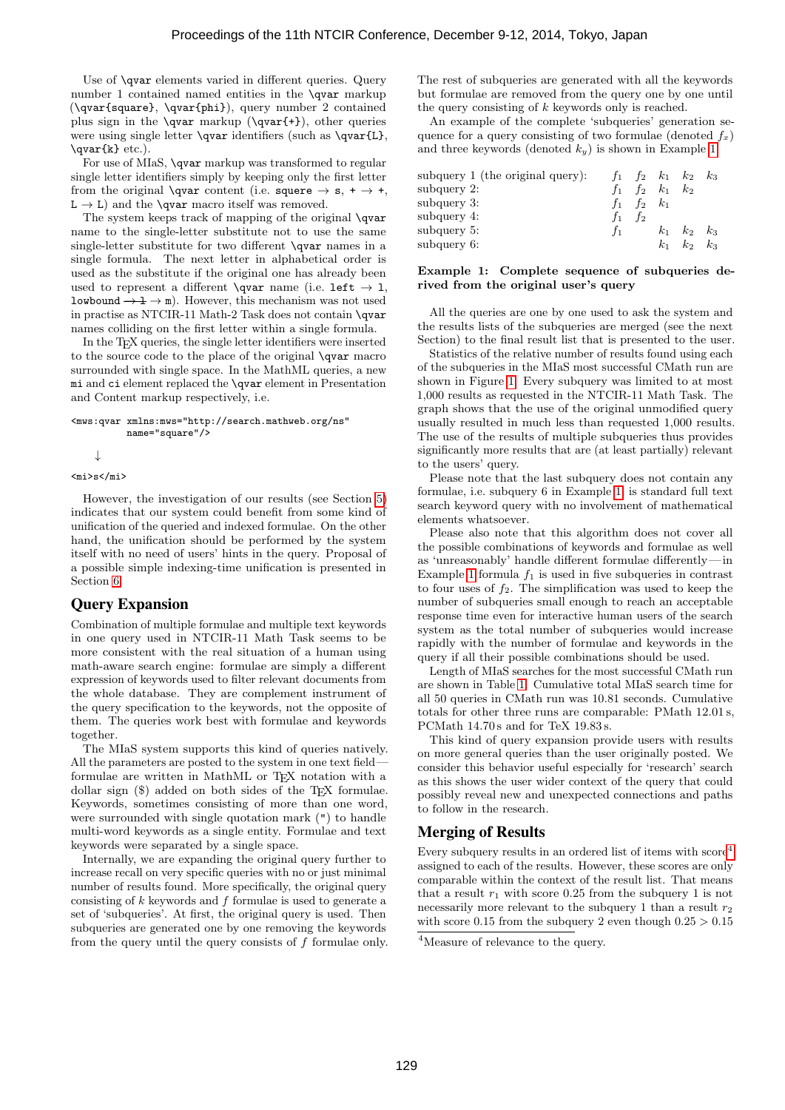Use of \qvar elements varied in different queries. Query number 1 contained named entities in the \qvar markup (\qvar{square}, \qvar{phi}), query number 2 contained plus sign in the  $\qquad$  markup  $(\qquad +)$ , other queries were using single letter \qvar identifiers (such as \qvar{L}, \qvar{k} etc.).

For use of MIaS, **\qvar** markup was transformed to regular single letter identifiers simply by keeping only the first letter from the original **\qvar** content (i.e. squere  $\rightarrow$  s,  $\rightarrow$  +,  $L \rightarrow L$ ) and the **\qvar** macro itself was removed.

The system keeps track of mapping of the original **\qvar** name to the single-letter substitute not to use the same single-letter substitute for two different **\qvar** names in a single formula. The next letter in alphabetical order is used as the substitute if the original one has already been used to represent a different \qvar name (i.e. left  $\rightarrow$  1, lowbound  $\rightarrow \pm \rightarrow \pm$ . However, this mechanism was not used in practise as NTCIR-11 Math-2 Task does not contain **\qvar** names colliding on the first letter within a single formula.

In the TEX queries, the single letter identifiers were inserted to the source code to the place of the original \qvar macro surrounded with single space. In the MathML queries, a new mi and ci element replaced the \qvar element in Presentation and Content markup respectively, i.e.

<mws:qvar xmlns:mws="http://search.mathweb.org/ns" name="square"/>

↓

#### $<$ mi>s $<$ /mi>

However, the investigation of our results (see Section 5) indicates that our system could benefit from some kind of unification of the queried and indexed formulae. On the other hand, the unification should be performed by the system itself with no need of users' hints in the query. Proposal of a possible simple indexing-time unification is presented in Section 6.

#### Query Expansion

Combination of multiple formulae and multiple text keywords in one query used in NTCIR-11 Math Task seems to be more consistent with the real situation of a human using math-aware search engine: formulae are simply a different expression of keywords used to filter relevant documents from the whole database. They are complement instrument of the query specification to the keywords, not the opposite of them. The queries work best with formulae and keywords together.

The MIaS system supports this kind of queries natively. All the parameters are posted to the system in one text field formulae are written in MathML or T<sub>E</sub>X notation with a dollar sign  $(\$)$  added on both sides of the T<sub>E</sub>X formulae. Keywords, sometimes consisting of more than one word, were surrounded with single quotation mark (") to handle multi-word keywords as a single entity. Formulae and text keywords were separated by a single space.

Internally, we are expanding the original query further to increase recall on very specific queries with no or just minimal number of results found. More specifically, the original query consisting of  $k$  keywords and  $f$  formulae is used to generate a set of 'subqueries'. At first, the original query is used. Then subqueries are generated one by one removing the keywords from the query until the query consists of  $f$  formulae only. The rest of subqueries are generated with all the keywords but formulae are removed from the query one by one until the query consisting of  $k$  keywords only is reached.

An example of the complete 'subqueries' generation sequence for a query consisting of two formulae (denoted  $f_x$ ) and three keywords (denoted  $k_y$ ) is shown in Example 1.

| subquery $1$ (the original query): | $t_1$   | $f_2$ | $k_1$ | $k_2$ | $k_{3}$ |
|------------------------------------|---------|-------|-------|-------|---------|
| subquery 2:                        |         | f2.   | $k_1$ | $k_2$ |         |
| subquery 3:                        | $f_{1}$ | $f_2$ | $k_1$ |       |         |
| subquery 4:                        | $t_1$   | fо    |       |       |         |
| subquery 5:                        |         |       | $k_1$ | $k_2$ | $k_{3}$ |
| subquery 6:                        |         |       | $k_1$ | $k_2$ | $k_3$   |

#### Example 1: Complete sequence of subqueries derived from the original user's query

All the queries are one by one used to ask the system and the results lists of the subqueries are merged (see the next Section) to the final result list that is presented to the user.

Statistics of the relative number of results found using each of the subqueries in the MIaS most successful CMath run are shown in Figure 1. Every subquery was limited to at most 1,000 results as requested in the NTCIR-11 Math Task. The graph shows that the use of the original unmodified query usually resulted in much less than requested 1,000 results. The use of the results of multiple subqueries thus provides significantly more results that are (at least partially) relevant to the users' query.

Please note that the last subquery does not contain any formulae, i.e. subquery 6 in Example 1, is standard full text search keyword query with no involvement of mathematical elements whatsoever.

Please also note that this algorithm does not cover all the possible combinations of keywords and formulae as well as 'unreasonably' handle different formulae differently—in Example 1 formula  $f_1$  is used in five subqueries in contrast to four uses of  $f_2$ . The simplification was used to keep the number of subqueries small enough to reach an acceptable response time even for interactive human users of the search system as the total number of subqueries would increase rapidly with the number of formulae and keywords in the query if all their possible combinations should be used.

Length of MIaS searches for the most successful CMath run are shown in Table 1. Cumulative total MIaS search time for all 50 queries in CMath run was 10.81 seconds. Cumulative totals for other three runs are comparable: PMath 12.01 s, PCMath 14.70 s and for TeX 19.83 s.

This kind of query expansion provide users with results on more general queries than the user originally posted. We consider this behavior useful especially for 'research' search as this shows the user wider context of the query that could possibly reveal new and unexpected connections and paths to follow in the research.

#### Merging of Results

Every subquery results in an ordered list of items with  $score<sup>4</sup>$ assigned to each of the results. However, these scores are only comparable within the context of the result list. That means that a result  $r_1$  with score 0.25 from the subquery 1 is not necessarily more relevant to the subquery 1 than a result  $r_2$ with score 0.15 from the subquery 2 even though  $0.25 > 0.15$ 

<sup>&</sup>lt;sup>4</sup>Measure of relevance to the query.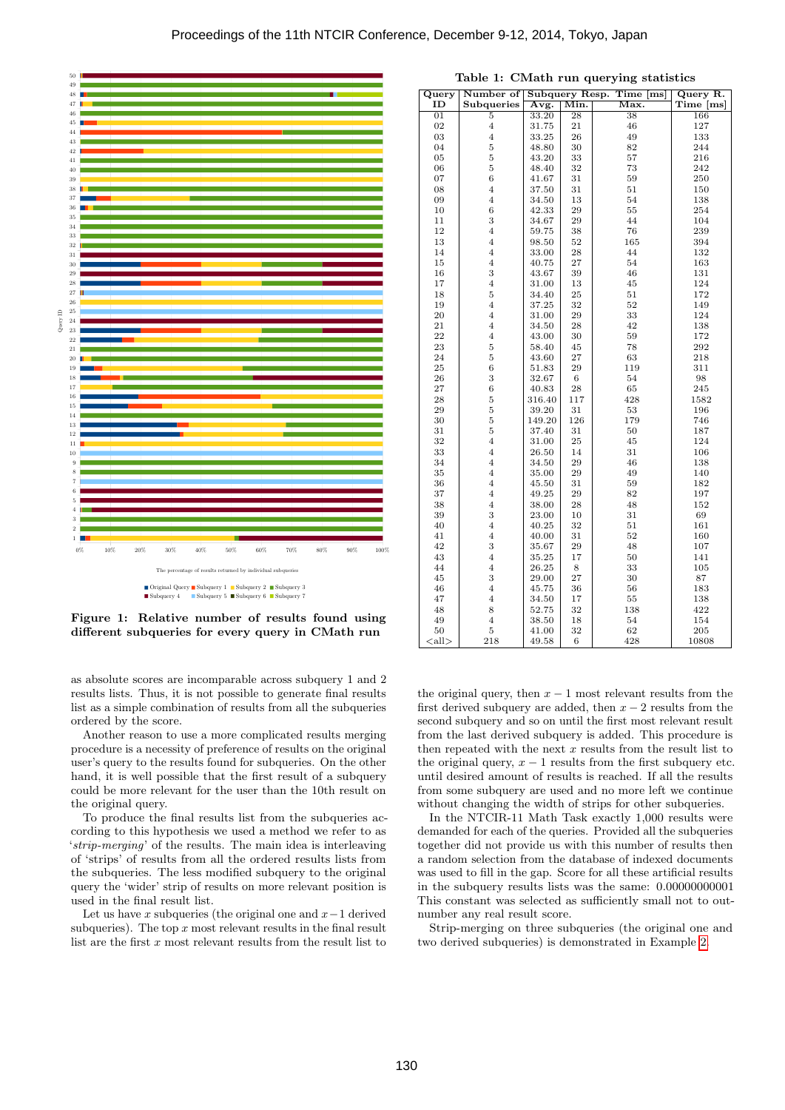

Figure 1: Relative number of results found using different subqueries for every query in CMath run

as absolute scores are incomparable across subquery 1 and 2 results lists. Thus, it is not possible to generate final results list as a simple combination of results from all the subqueries ordered by the score.

Another reason to use a more complicated results merging procedure is a necessity of preference of results on the original user's query to the results found for subqueries. On the other hand, it is well possible that the first result of a subquery could be more relevant for the user than the 10th result on the original query.

To produce the final results list from the subqueries according to this hypothesis we used a method we refer to as 'strip-merging' of the results. The main idea is interleaving of 'strips' of results from all the ordered results lists from the subqueries. The less modified subquery to the original query the 'wider' strip of results on more relevant position is used in the final result list.

Let us have x subqueries (the original one and  $x-1$  derived subqueries). The top  $x$  most relevant results in the final result list are the first  $x$  most relevant results from the result list to

| $\overline{\mathbf{Q}}$ uery | Number of               |        |      | <b>Subquery Resp. Time</b><br>$\lceil ms \rceil$ | Query R.  |
|------------------------------|-------------------------|--------|------|--------------------------------------------------|-----------|
| ID                           | Subqueries              | Avg.   | Min. | Max.                                             | Time [ms] |
| $\overline{01}$              | 5                       | 33.20  | 28   | 38                                               | 166       |
| 02                           | $\overline{4}$          | 31.75  | 21   | 46                                               | 127       |
| 03                           | $\overline{4}$          | 33.25  | 26   | 49                                               | 133       |
| 04                           | 5                       | 48.80  | 30   | 82                                               | 244       |
| 05                           | 5                       | 43.20  | 33   | 57                                               | 216       |
| 06                           | 5                       | 48.40  | 32   | 73                                               | 242       |
| 07                           | 6                       | 41.67  | 31   | 59                                               | 250       |
| 08                           | $\overline{\mathbf{4}}$ | 37.50  | 31   | 51                                               | 150       |
| 09                           | $\overline{4}$          | 34.50  | 13   | 54                                               | 138       |
| 10                           | 6                       | 42.33  | 29   | 55                                               | 254       |
| 11                           | 3                       | 34.67  | 29   | 44                                               | 104       |
| 12                           | $\overline{\mathbf{4}}$ | 59.75  | 38   | 76                                               | 239       |
| 13                           | $\overline{4}$          | 98.50  | 52   | 165                                              | 394       |
| 14                           | $\overline{4}$          | 33.00  | 28   | 44                                               | 132       |
| 15                           | $\overline{4}$          | 40.75  | 27   | 54                                               | 163       |
| 16                           | 3                       | 43.67  | 39   | 46                                               | 131       |
| 17                           | $\overline{\mathbf{4}}$ | 31.00  | 13   | 45                                               | 124       |
| 18                           | 5                       | 34.40  | 25   | 51                                               | 172       |
| 19                           | $\overline{4}$          | 37.25  | 32   | 52                                               | 149       |
| 20                           | $\overline{4}$          | 31.00  | 29   | 33                                               | 124       |
| 21                           | $\overline{\mathbf{4}}$ | 34.50  | 28   | 42                                               | 138       |
| 22                           | $\overline{\mathbf{4}}$ | 43.00  | 30   | 59                                               | 172       |
| 23                           | 5                       | 58.40  | 45   | 78                                               | 292       |
| 24                           | 5                       | 43.60  | 27   | 63                                               | 218       |
| 25                           | 6                       | 51.83  | 29   | 119                                              | 311       |
| 26                           | 3                       | 32.67  | 6    | 54                                               | 98        |
| 27                           | 6                       | 40.83  | 28   | 65                                               | 245       |
| 28                           | $\bf 5$                 | 316.40 | 117  | 428                                              | 1582      |
| 29                           | $\overline{5}$          | 39.20  | 31   | 53                                               | 196       |
| 30                           | $\overline{5}$          | 149.20 | 126  | 179                                              | 746       |
| 31                           | 5                       | 37.40  | 31   | 50                                               | 187       |
| 32                           | $\overline{\mathbf{4}}$ | 31.00  | 25   | 45                                               | 124       |
| 33                           | $\overline{4}$          | 26.50  | 14   | 31                                               | 106       |
| 34                           | $\overline{4}$          | 34.50  | 29   | 46                                               | 138       |
| 35                           | $\overline{4}$          | 35.00  | 29   | 49                                               | 140       |
| 36                           | $\overline{4}$          | 45.50  | 31   | 59                                               | 182       |
| 37                           | $\overline{4}$          | 49.25  | 29   | 82                                               | 197       |
| 38                           | $\overline{4}$          | 38.00  | 28   | 48                                               | 152       |
| 39                           | 3                       | 23.00  | 10   | 31                                               | 69        |
| 40                           | $\overline{4}$          | 40.25  | 32   | 51                                               | 161       |
| 41                           | $\overline{\mathbf{4}}$ | 40.00  | 31   | $52\,$                                           | 160       |
| 42                           | 3                       | 35.67  | 29   | 48                                               | 107       |
| 43                           | $\overline{4}$          | 35.25  | 17   | 50                                               | 141       |
| 44                           | $\overline{4}$          | 26.25  | 8    | 33                                               | 105       |
| 45                           | 3                       | 29.00  | 27   | 30                                               | 87        |
| 46                           | $\overline{4}$          | 45.75  | 36   | 56                                               | 183       |
| 47                           | $\overline{4}$          | 34.50  | 17   | 55                                               | 138       |
| 48                           | 8                       | 52.75  | 32   | 138                                              | 422       |
| 49                           | $\overline{4}$          | 38.50  | 18   | 54                                               | 154       |
| 50                           | 5                       | 41.00  | 32   | 62                                               | 205       |
| $\langle \text{all} \rangle$ | 218                     | 49.58  | 6    | 428                                              | 10808     |
|                              |                         |        |      |                                                  |           |

Table 1: CMath run querying statistics

the original query, then  $x - 1$  most relevant results from the first derived subquery are added, then  $x - 2$  results from the second subquery and so on until the first most relevant result from the last derived subquery is added. This procedure is then repeated with the next  $x$  results from the result list to the original query,  $x - 1$  results from the first subquery etc. until desired amount of results is reached. If all the results from some subquery are used and no more left we continue without changing the width of strips for other subqueries.

In the NTCIR-11 Math Task exactly 1,000 results were demanded for each of the queries. Provided all the subqueries together did not provide us with this number of results then a random selection from the database of indexed documents was used to fill in the gap. Score for all these artificial results in the subquery results lists was the same: 0.00000000001 This constant was selected as sufficiently small not to outnumber any real result score.

Strip-merging on three subqueries (the original one and two derived subqueries) is demonstrated in Example 2.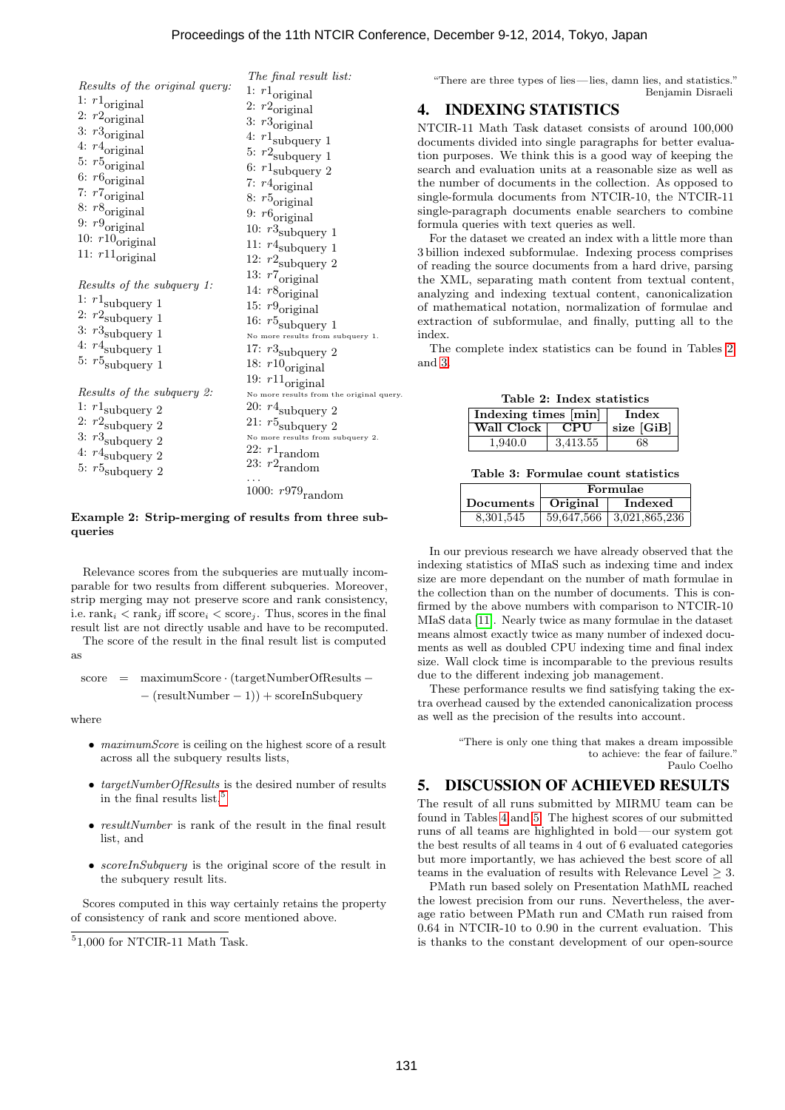|                                    | The final result list:                   |
|------------------------------------|------------------------------------------|
| Results of the original query:     | 1: $r1_{\text{original}}$                |
| 1: $r1_{original}$                 | 2: $r2_{original}$                       |
| 2: $r2_{original}$                 | 3: $r3$ <sub>original</sub>              |
| 3: $r3$ <sub>original</sub>        | 4: $r1_{\mbox{\small subquery}}$ 1       |
| 4: $r4_{original}$                 |                                          |
| 5: $r5_{original}$                 | 5: $r2$ <sub>subquery</sub> 1            |
| 6: $r6_{original}$                 | 6: $r1_{\rm subquery}$ 2                 |
| 7: $r7_{original}$                 | 7: $r4_{original}$                       |
| 8: $r8$ <sub>original</sub>        | 8: $r5_{original}$                       |
| 9: $r9_{original}$                 | 9: $r6_{original}$                       |
| 10: $r10$ <sub>original</sub>      | 10: $r3_{\rm subquery}$ 1                |
| 11: $r11$ <sub>original</sub>      | 11: $r4$ <sub>subquery</sub> 1           |
|                                    | 12: $r2_{\rm subquery}$ 2                |
| Results of the subquery 1:         | 13: $r7_{original}$                      |
|                                    | 14: $r8_{original}$                      |
| 1: $r1_{\rm subquery}$ 1           | 15: $r9_{original}$                      |
| 2: $r2$ <sub>subquery</sub> 1      | 16: $r5$ <sub>subquery</sub> 1           |
| 3: $r3_{\mbox{\small subquery}}$ 1 | No more results from subquery 1.         |
| 4: $r4$ <sub>subquery</sub> 1      | 17: $r3_{\rm subquery}$ 2                |
| 5: $r5$ <sub>subquery</sub> 1      | 18: $r10$ <sub>original</sub>            |
|                                    | 19: $r11$ <sub>original</sub>            |
| Results of the subquery 2:         | No more results from the original query. |
| 1: $r1$ <sub>subquery</sub> 2      | 20: $r4$ <sub>subquery</sub> 2           |
| 2: $r2$ <sub>subquery</sub> 2      | 21: $r5$ <sub>subquery</sub> 2           |
| 3: $r3_{\mbox{\small subquery}}$ 2 | No more results from subquery 2.         |
| 4: $r4$ <sub>subquery</sub> 2      | 22: $r1_{\text{random}}$                 |
| 5: $r5_{\rm subquery}$ 2           | 23: $r2_{\text{random}}$                 |
|                                    |                                          |
|                                    | 1000: $r979$ <sub>random</sub>           |

#### Example 2: Strip-merging of results from three subqueries

Relevance scores from the subqueries are mutually incomparable for two results from different subqueries. Moreover, strip merging may not preserve score and rank consistency, i.e.  $\text{rank}_i < \text{rank}_j$  iff  $\text{score}_i < \text{score}_j$ . Thus, scores in the final result list are not directly usable and have to be recomputed.

The score of the result in the final result list is computed as

$$
score = maximumScore \cdot (targetNumberOfResults --(resultNumber - 1)) + scoreInSubquery
$$

where

- ∙ maximumScore is ceiling on the highest score of a result across all the subquery results lists,
- ∙ targetNumberOfResults is the desired number of results in the final results list,<sup>5</sup>
- ∙ resultNumber is rank of the result in the final result list, and
- ∙ scoreInSubquery is the original score of the result in the subquery result lits.

Scores computed in this way certainly retains the property of consistency of rank and score mentioned above.

"There are three types of lies—lies, damn lies, and statistics." Benjamin Disraeli

## 4. INDEXING STATISTICS

NTCIR-11 Math Task dataset consists of around 100,000 documents divided into single paragraphs for better evaluation purposes. We think this is a good way of keeping the search and evaluation units at a reasonable size as well as the number of documents in the collection. As opposed to single-formula documents from NTCIR-10, the NTCIR-11 single-paragraph documents enable searchers to combine formula queries with text queries as well.

For the dataset we created an index with a little more than 3 billion indexed subformulae. Indexing process comprises of reading the source documents from a hard drive, parsing the XML, separating math content from textual content, analyzing and indexing textual content, canonicalization of mathematical notation, normalization of formulae and extraction of subformulae, and finally, putting all to the index.

The complete index statistics can be found in Tables 2 and 3.

|  |  | Table 2: Index statistics |
|--|--|---------------------------|
|--|--|---------------------------|

| Indexing times [min] | Index    |            |
|----------------------|----------|------------|
| Wall Clock   CPU     |          | size [GiB] |
| 1.940.0              | 3,413.55 | 68         |

Table 3: Formulae count statistics

|                      | Formulae |                            |  |
|----------------------|----------|----------------------------|--|
| Documents   Original |          | Indexed                    |  |
| 8,301,545            |          | 59,647,566   3,021,865,236 |  |

In our previous research we have already observed that the indexing statistics of MIaS such as indexing time and index size are more dependant on the number of math formulae in the collection than on the number of documents. This is confirmed by the above numbers with comparison to NTCIR-10 MIaS data [11]. Nearly twice as many formulae in the dataset means almost exactly twice as many number of indexed documents as well as doubled CPU indexing time and final index size. Wall clock time is incomparable to the previous results due to the different indexing job management.

These performance results we find satisfying taking the extra overhead caused by the extended canonicalization process as well as the precision of the results into account.

> "There is only one thing that makes a dream impossible to achieve: the fear of failure." Paulo Coelho

## 5. DISCUSSION OF ACHIEVED RESULTS

The result of all runs submitted by MIRMU team can be found in Tables 4 and 5. The highest scores of our submitted runs of all teams are highlighted in bold— our system got the best results of all teams in 4 out of 6 evaluated categories but more importantly, we has achieved the best score of all teams in the evaluation of results with Relevance Level  $\geq$  3.

PMath run based solely on Presentation MathML reached the lowest precision from our runs. Nevertheless, the average ratio between PMath run and CMath run raised from 0.64 in NTCIR-10 to 0.90 in the current evaluation. This is thanks to the constant development of our open-source

<sup>5</sup> 1,000 for NTCIR-11 Math Task.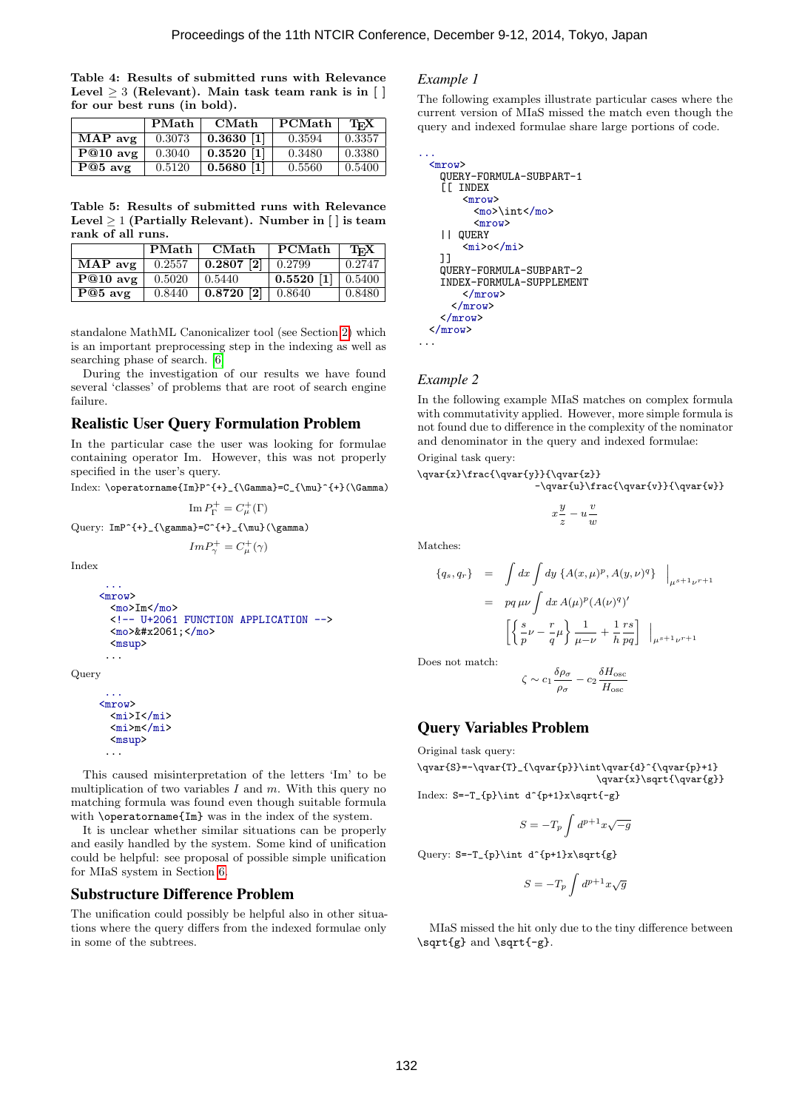Table 4: Results of submitted runs with Relevance Level  $\geq 3$  (Relevant). Main task team rank is in [ ] for our best runs (in bold).

|                  | PMath  | CMath                          | $\cdot$ PCMath | TFX               |
|------------------|--------|--------------------------------|----------------|-------------------|
| MAP avg          | 0.3073 | $0.3630$ [1]                   | 0.3594         | 0.3357            |
| $\vert$ P@10 avg | 0.3040 | $\mid 0.3520 \; \vert 1 \vert$ | 0.3480         | 0.3380            |
| $P@5$ avg        | 0.5120 | $0.5680$ [1]                   | 0.5560         | $^{\circ}$ 0.5400 |

Table 5: Results of submitted runs with Relevance Level  $\geq 1$  (Partially Relevant). Number in [ ] is team rank of all runs.

|                  | <b>PMath</b> | <b>CMath</b>                    | PCMath                            | TFX    |
|------------------|--------------|---------------------------------|-----------------------------------|--------|
| $\vert$ MAP avg  | 0.2557       | $\mid$ 0.2807 [2] $\mid$ 0.2799 |                                   | 0.2747 |
| $\vert$ P@10 avg | 0.5020       | 10.5440                         | $\vert$ 0.5520 [1] $\vert$ 0.5400 |        |
| $\vert$ P@5 avg  | 0.8440       | $\mid$ 0.8720 [2] $\mid$ 0.8640 |                                   | 0.8480 |

standalone MathML Canonicalizer tool (see Section 2) which is an important preprocessing step in the indexing as well as searching phase of search. [6]

During the investigation of our results we have found several 'classes' of problems that are root of search engine failure.

## Realistic User Query Formulation Problem

In the particular case the user was looking for formulae containing operator Im. However, this was not properly specified in the user's query.

Index: \operatorname{Im}P^{+}\_{\Gamma}=C\_{\mu}^{+}(\Gamma)

 $\mathrm{Im}\,P_{\Gamma}^+=C_{\mu}^+(\Gamma)$ Query:  $ImP^{+}_{\gamma}=C^{+}_{\mu}(\gamma)$ 

 $Im P_{\gamma}^{+} = C_{\mu}^{+}(\gamma)$ 

Index

```
...
<mrow>
  \langle \text{mo}\rangleIm\langle \text{mo}\rangle<!-- U+2061 FUNCTION APPLICATION -->
  <mo>&#x2061;</mo>
  <msup>
 ...
```
**Query** 

```
<mrow>
  \{mi\}I</mi>
  <mi>m</mi>
  <msup>
 ...
```
...

This caused misinterpretation of the letters 'Im' to be multiplication of two variables  $I$  and  $m$ . With this query no matching formula was found even though suitable formula with **\operatorname{Im}** was in the index of the system.

It is unclear whether similar situations can be properly and easily handled by the system. Some kind of unification could be helpful: see proposal of possible simple unification for MIaS system in Section 6.

#### Substructure Difference Problem

The unification could possibly be helpful also in other situations where the query differs from the indexed formulae only in some of the subtrees.

#### *Example 1*

The following examples illustrate particular cases where the current version of MIaS missed the match even though the query and indexed formulae share large portions of code.

```
...
  <mrow>
    QUERY-FORMULA-SUBPART-1
    [[ INDEX
         <mrow>
           <mo>\int</mo>
           <mrow>
    || QUERY
         <sub>miv</sub> > o < /miv</sub></sub>
    ]]
    QUERY-FORMULA-SUBPART-2
    INDEX-FORMULA-SUPPLEMENT
        </mrow>
       </mrow>
    </mrow>
  </mrow>
...
```
#### *Example 2*

In the following example MIaS matches on complex formula with commutativity applied. However, more simple formula is not found due to difference in the complexity of the nominator and denominator in the query and indexed formulae:

Original task query:

 $\qquad{x}\frac{\qvar{y}}{\qvar{z}}$ -\qvar{u}\frac{\qvar{v}}{\qvar{w}}

> $\frac{v}{\sqrt{2}}$  $\overline{w}$

$$
x\frac{y}{z} - u
$$

Matches:

$$
\{q_s, q_r\} = \int dx \int dy \{A(x, \mu)^p, A(y, \nu)^q\} |_{\mu^{s+1} \nu^{r+1}}
$$
  
=  $pq \mu \nu \int dx A(\mu)^p (A(\nu)^q)'$   

$$
\left[ \left\{ \frac{s}{p} \nu - \frac{r}{q} \mu \right\} \frac{1}{\mu - \nu} + \frac{1}{h} \frac{rs}{pq} \right] |_{\mu^{s+1} \nu^{r+1}}
$$

Does not match:

$$
\zeta \sim c_1 \frac{\delta \rho_\sigma}{\rho_\sigma} - c_2 \frac{\delta H_{\rm osc}}{H_{\rm osc}}
$$

## Query Variables Problem

Original task query:

\qvar{S}=-\qvar{T}\_{\qvar{p}}\int\qvar{d}^{\qvar{p}+1} \qvar{x}\sqrt{\qvar{g}}

Index:  $S=-T_{p}\int d^{p+1}x\sqrt{f-g}$ 

$$
S=-T_p\int d^{p+1}x\sqrt{-g}
$$

Query:  $S=-T_{p}\int d^{p+1}x\sqrt{g}$ 

$$
S=-T_p\int d^{p+1}x\sqrt{g}
$$

MIaS missed the hit only due to the tiny difference between \sqrt{g} and \sqrt{-g}.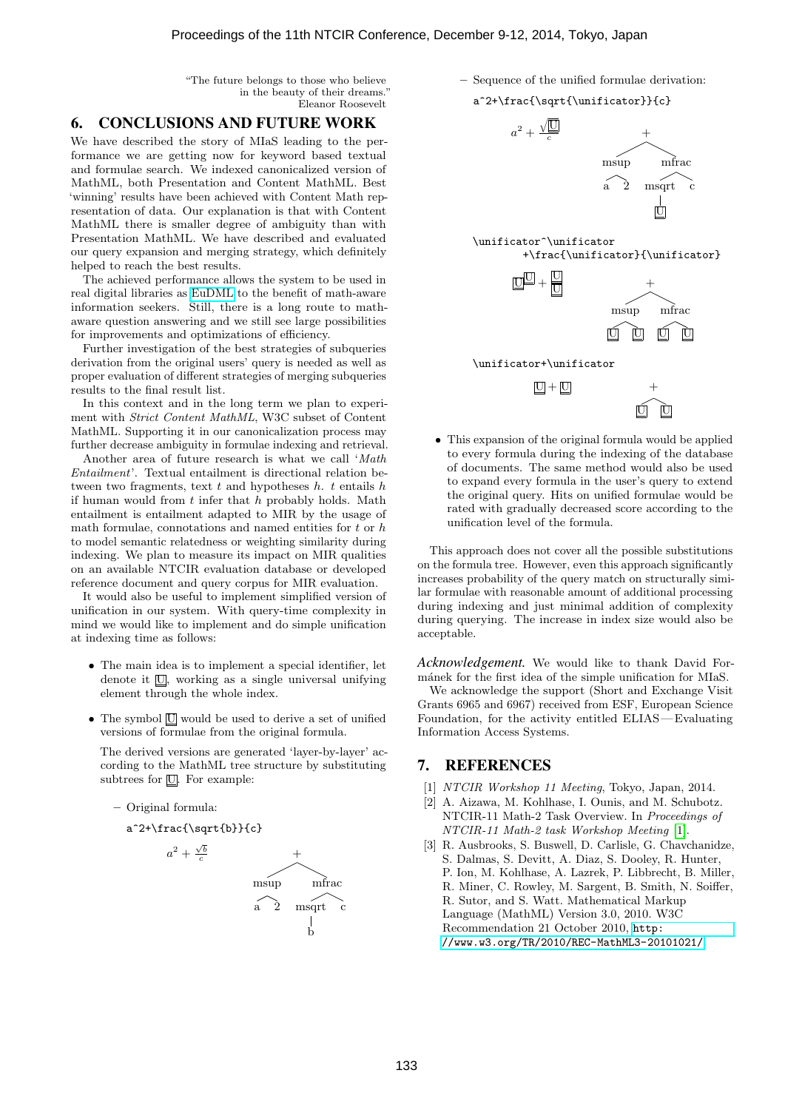"The future belongs to those who believe in the beauty of their dreams." Eleanor Roosevelt

#### 6. CONCLUSIONS AND FUTURE WORK

We have described the story of MIaS leading to the performance we are getting now for keyword based textual and formulae search. We indexed canonicalized version of MathML, both Presentation and Content MathML. Best 'winning' results have been achieved with Content Math representation of data. Our explanation is that with Content MathML there is smaller degree of ambiguity than with Presentation MathML. We have described and evaluated our query expansion and merging strategy, which definitely helped to reach the best results.

The achieved performance allows the system to be used in real digital libraries as [EuDML](https://eudml.org) to the benefit of math-aware information seekers. Still, there is a long route to mathaware question answering and we still see large possibilities for improvements and optimizations of efficiency.

Further investigation of the best strategies of subqueries derivation from the original users' query is needed as well as proper evaluation of different strategies of merging subqueries results to the final result list.

In this context and in the long term we plan to experiment with Strict Content MathML, W3C subset of Content MathML. Supporting it in our canonicalization process may further decrease ambiguity in formulae indexing and retrieval.

Another area of future research is what we call 'Math Entailment'. Textual entailment is directional relation between two fragments, text  $t$  and hypotheses  $h$ .  $t$  entails  $h$ if human would from  $t$  infer that  $h$  probably holds. Math entailment is entailment adapted to MIR by the usage of math formulae, connotations and named entities for  $t$  or  $h$ to model semantic relatedness or weighting similarity during indexing. We plan to measure its impact on MIR qualities on an available NTCIR evaluation database or developed reference document and query corpus for MIR evaluation.

It would also be useful to implement simplified version of unification in our system. With query-time complexity in mind we would like to implement and do simple unification at indexing time as follows:

- ∙ The main idea is to implement a special identifier, let denote it  $\overline{U}$ , working as a single universal unifying element through the whole index.
- ∙ The symbol U would be used to derive a set of unified versions of formulae from the original formula.

The derived versions are generated 'layer-by-layer' according to the MathML tree structure by substituting subtrees for  $\overline{U}$ . For example:

– Original formula:

a^2+\frac{\sqrt{sqrt{b}}{c}}  

$$
a^2 + \frac{\sqrt{b}}{c}
$$





### a^2+\frac{\sqrt{\unificator}}{c}



\unificator+\unificator

 $|U| + |U|$ 



∙ This expansion of the original formula would be applied to every formula during the indexing of the database of documents. The same method would also be used to expand every formula in the user's query to extend the original query. Hits on unified formulae would be rated with gradually decreased score according to the unification level of the formula.

This approach does not cover all the possible substitutions on the formula tree. However, even this approach significantly increases probability of the query match on structurally similar formulae with reasonable amount of additional processing during indexing and just minimal addition of complexity during querying. The increase in index size would also be acceptable.

*Acknowledgement.* We would like to thank David Formánek for the first idea of the simple unification for MIaS.

We acknowledge the support (Short and Exchange Visit Grants 6965 and 6967) received from ESF, European Science Foundation, for the activity entitled ELIAS—Evaluating Information Access Systems.

#### 7. REFERENCES

- [1] NTCIR Workshop 11 Meeting, Tokyo, Japan, 2014.
- [2] A. Aizawa, M. Kohlhase, I. Ounis, and M. Schubotz. NTCIR-11 Math-2 Task Overview. In Proceedings of NTCIR-11 Math-2 task Workshop Meeting [1].
- [3] R. Ausbrooks, S. Buswell, D. Carlisle, G. Chavchanidze, S. Dalmas, S. Devitt, A. Diaz, S. Dooley, R. Hunter, P. Ion, M. Kohlhase, A. Lazrek, P. Libbrecht, B. Miller, R. Miner, C. Rowley, M. Sargent, B. Smith, N. Soiffer, R. Sutor, and S. Watt. Mathematical Markup Language (MathML) Version 3.0, 2010. W3C Recommendation 21 October 2010, [http:](http://www.w3.org/TR/2010/REC-MathML3-20101021/) [//www.w3.org/TR/2010/REC-MathML3-20101021/](http://www.w3.org/TR/2010/REC-MathML3-20101021/).